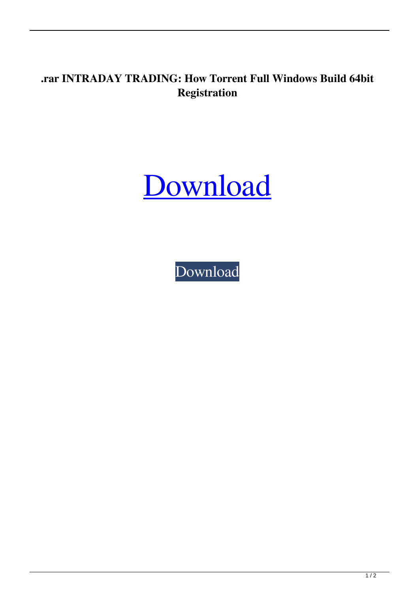## **.rar INTRADAY TRADING: How Torrent Full Windows Build 64bit Registration**

## [Download](http://evacdir.com/demonstrators/superhot?coverings=forebodingly?ZG93bmxvYWR8REgyTVRGdGVYeDhNVFkxTWpjME1EZzJObng4TWpVM05IeDhLRTBwSUhKbFlXUXRZbXh2WnlCYlJtRnpkQ0JIUlU1ZA=SU5UUkFEQVkgVFJBRElORzogSG93IHRvIHBpY2sgc3RvY2tzIGludHJhZGF5IGEgZGF5IGJlZm9yZSBCIEpvbmF0aGFuSU5)

[Download](http://evacdir.com/demonstrators/superhot?coverings=forebodingly?ZG93bmxvYWR8REgyTVRGdGVYeDhNVFkxTWpjME1EZzJObng4TWpVM05IeDhLRTBwSUhKbFlXUXRZbXh2WnlCYlJtRnpkQ0JIUlU1ZA=SU5UUkFEQVkgVFJBRElORzogSG93IHRvIHBpY2sgc3RvY2tzIGludHJhZGF5IGEgZGF5IGJlZm9yZSBCIEpvbmF0aGFuSU5)